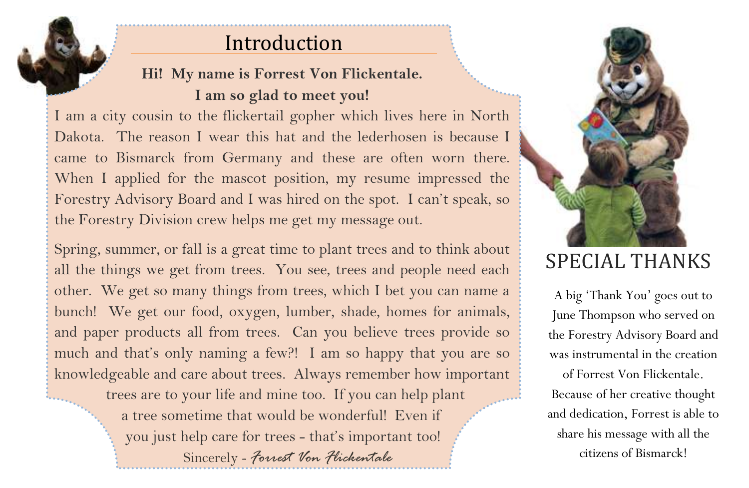# Introduction

## **Hi! My name is Forrest Von Flickentale. I am so glad to meet you!**

I am a city cousin to the flickertail gopher which lives here in North Dakota. The reason I wear this hat and the lederhosen is because I came to Bismarck from Germany and these are often worn there. When I applied for the mascot position, my resume impressed the Forestry Advisory Board and I was hired on the spot. I can't speak, so the Forestry Division crew helps me get my message out.

Spring, summer, or fall is a great time to plant trees and to think about all the things we get from trees. You see, trees and people need each other. We get so many things from trees, which I bet you can name a bunch! We get our food, oxygen, lumber, shade, homes for animals, and paper products all from trees. Can you believe trees provide so much and that's only naming a few?! I am so happy that you are so knowledgeable and care about trees. Always remember how important trees are to your life and mine too. If you can help plant a tree sometime that would be wonderful! Even if you just help care for trees - that's important too!

Sincerely *- Forrest Von Flickentale*



# SPECIAL THANKS

A big 'Thank You' goes out to June Thompson who served on the Forestry Advisory Board and was instrumental in the creation of Forrest Von Flickentale. Because of her creative thought and dedication, Forrest is able to share his message with all the citizens of Bismarck!